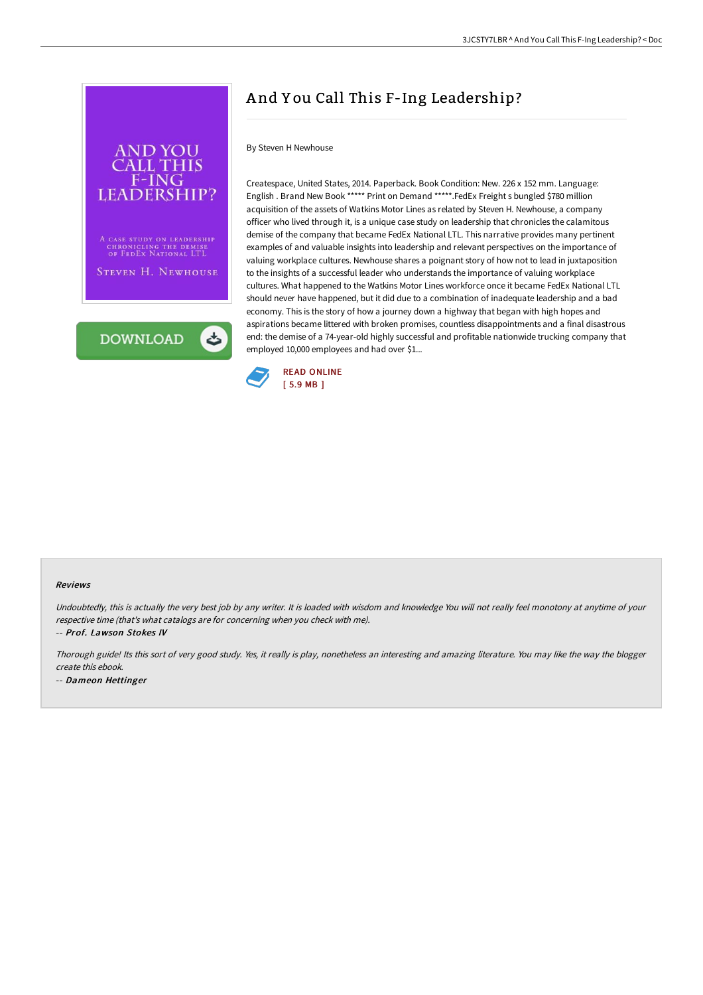

A CASE STUDY ON LEADERSHIP CHRONICLING THE DEMISE<br>OF FEDEX NATIONAL LTL

STEVEN H. NEWHOUSE

**DOWNLOAD** 

ٹ

## A nd Y ou Call This F-Ing Leadership?

## By Steven H Newhouse

Createspace, United States, 2014. Paperback. Book Condition: New. 226 x 152 mm. Language: English . Brand New Book \*\*\*\*\* Print on Demand \*\*\*\*\*.FedEx Freight s bungled \$780 million acquisition of the assets of Watkins Motor Lines as related by Steven H. Newhouse, a company officer who lived through it, is a unique case study on leadership that chronicles the calamitous demise of the company that became FedEx National LTL. This narrative provides many pertinent examples of and valuable insights into leadership and relevant perspectives on the importance of valuing workplace cultures. Newhouse shares a poignant story of how not to lead in juxtaposition to the insights of a successful leader who understands the importance of valuing workplace cultures. What happened to the Watkins Motor Lines workforce once it became FedEx National LTL should never have happened, but it did due to a combination of inadequate leadership and a bad economy. This is the story of how a journey down a highway that began with high hopes and aspirations became littered with broken promises, countless disappointments and a final disastrous end: the demise of a 74-year-old highly successful and profitable nationwide trucking company that employed 10,000 employees and had over \$1...



## Reviews

Undoubtedly, this is actually the very best job by any writer. It is loaded with wisdom and knowledge You will not really feel monotony at anytime of your respective time (that's what catalogs are for concerning when you check with me).

-- Prof. Lawson Stokes IV

Thorough guide! Its this sort of very good study. Yes, it really is play, nonetheless an interesting and amazing literature. You may like the way the blogger create this ebook.

-- Dameon Hettinger